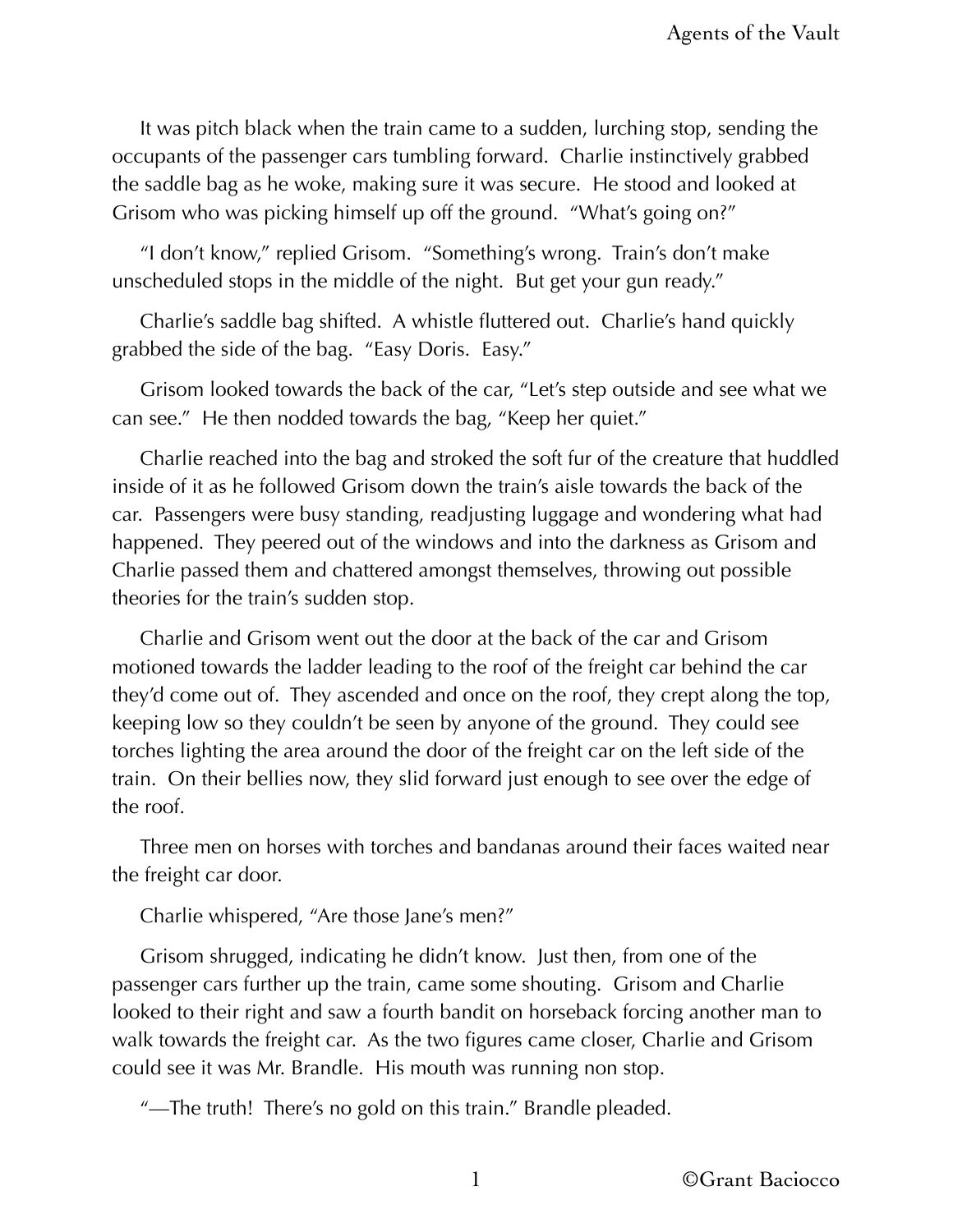It was pitch black when the train came to a sudden, lurching stop, sending the occupants of the passenger cars tumbling forward. Charlie instinctively grabbed the saddle bag as he woke, making sure it was secure. He stood and looked at Grisom who was picking himself up off the ground. "What's going on?"

"I don't know," replied Grisom. "Something's wrong. Train's don't make unscheduled stops in the middle of the night. But get your gun ready."

Charlie's saddle bag shifted. A whistle fluttered out. Charlie's hand quickly grabbed the side of the bag. "Easy Doris. Easy."

Grisom looked towards the back of the car, "Let's step outside and see what we can see." He then nodded towards the bag, "Keep her quiet."

Charlie reached into the bag and stroked the soft fur of the creature that huddled inside of it as he followed Grisom down the train's aisle towards the back of the car. Passengers were busy standing, readjusting luggage and wondering what had happened. They peered out of the windows and into the darkness as Grisom and Charlie passed them and chattered amongst themselves, throwing out possible theories for the train's sudden stop.

Charlie and Grisom went out the door at the back of the car and Grisom motioned towards the ladder leading to the roof of the freight car behind the car they'd come out of. They ascended and once on the roof, they crept along the top, keeping low so they couldn't be seen by anyone of the ground. They could see torches lighting the area around the door of the freight car on the left side of the train. On their bellies now, they slid forward just enough to see over the edge of the roof.

Three men on horses with torches and bandanas around their faces waited near the freight car door.

Charlie whispered, "Are those Jane's men?"

Grisom shrugged, indicating he didn't know. Just then, from one of the passenger cars further up the train, came some shouting. Grisom and Charlie looked to their right and saw a fourth bandit on horseback forcing another man to walk towards the freight car. As the two figures came closer, Charlie and Grisom could see it was Mr. Brandle. His mouth was running non stop.

"—The truth! There's no gold on this train." Brandle pleaded.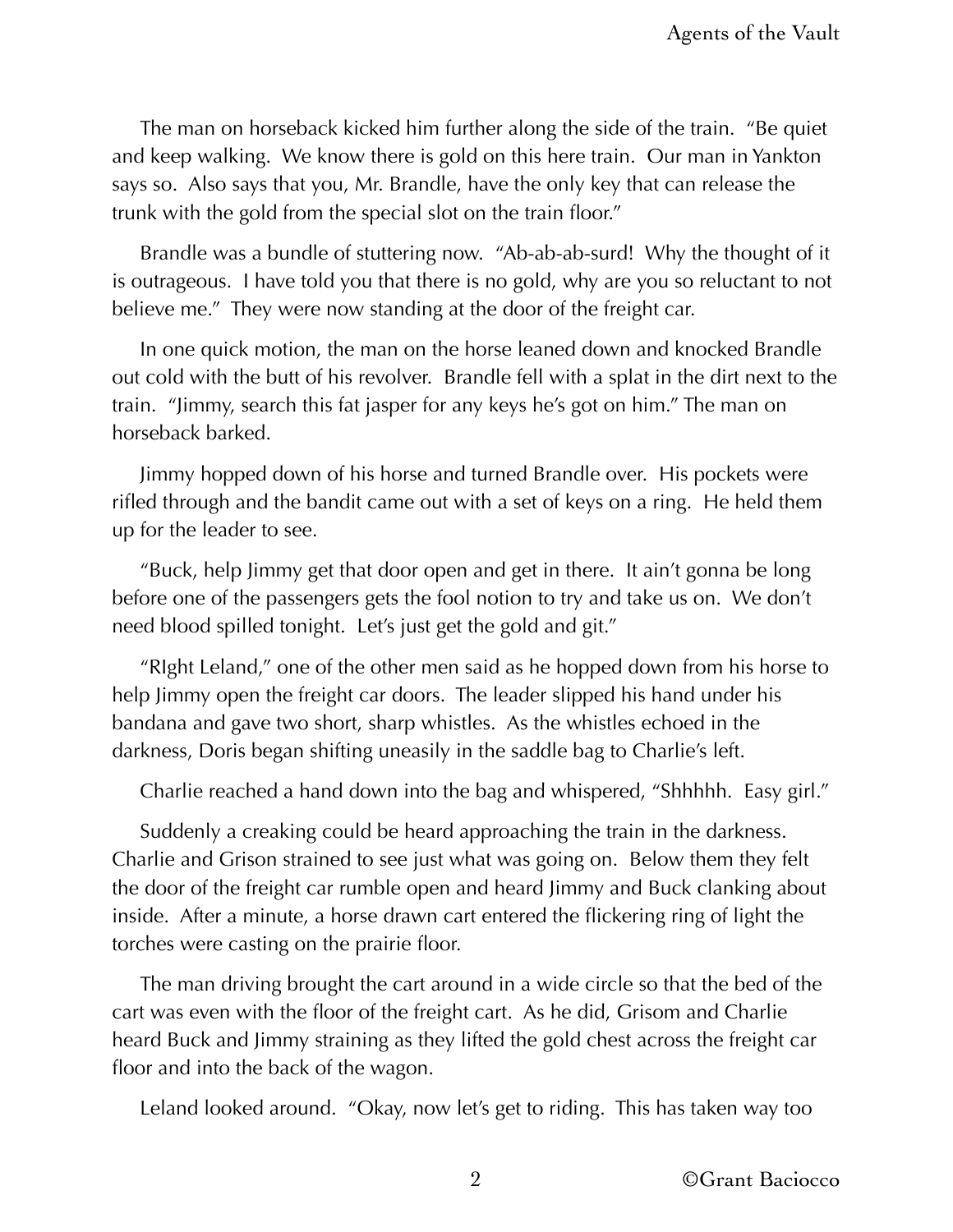The man on horseback kicked him further along the side of the train. "Be quiet and keep walking. We know there is gold on this here train. Our man in Yankton says so. Also says that you, Mr. Brandle, have the only key that can release the trunk with the gold from the special slot on the train floor."

Brandle was a bundle of stuttering now. "Ab-ab-ab-surd! Why the thought of it is outrageous. I have told you that there is no gold, why are you so reluctant to not believe me." They were now standing at the door of the freight car.

In one quick motion, the man on the horse leaned down and knocked Brandle out cold with the butt of his revolver. Brandle fell with a splat in the dirt next to the train. "Jimmy, search this fat jasper for any keys he's got on him." The man on horseback barked.

Jimmy hopped down of his horse and turned Brandle over. His pockets were rifled through and the bandit came out with a set of keys on a ring. He held them up for the leader to see.

"Buck, help Jimmy get that door open and get in there. It ain't gonna be long before one of the passengers gets the fool notion to try and take us on. We don't need blood spilled tonight. Let's just get the gold and git."

"RIght Leland," one of the other men said as he hopped down from his horse to help Jimmy open the freight car doors. The leader slipped his hand under his bandana and gave two short, sharp whistles. As the whistles echoed in the darkness, Doris began shifting uneasily in the saddle bag to Charlie's left.

Charlie reached a hand down into the bag and whispered, "Shhhhh. Easy girl."

Suddenly a creaking could be heard approaching the train in the darkness. Charlie and Grison strained to see just what was going on. Below them they felt the door of the freight car rumble open and heard Jimmy and Buck clanking about inside. After a minute, a horse drawn cart entered the flickering ring of light the torches were casting on the prairie floor.

The man driving brought the cart around in a wide circle so that the bed of the cart was even with the floor of the freight cart. As he did, Grisom and Charlie heard Buck and Jimmy straining as they lifted the gold chest across the freight car floor and into the back of the wagon.

Leland looked around. "Okay, now let's get to riding. This has taken way too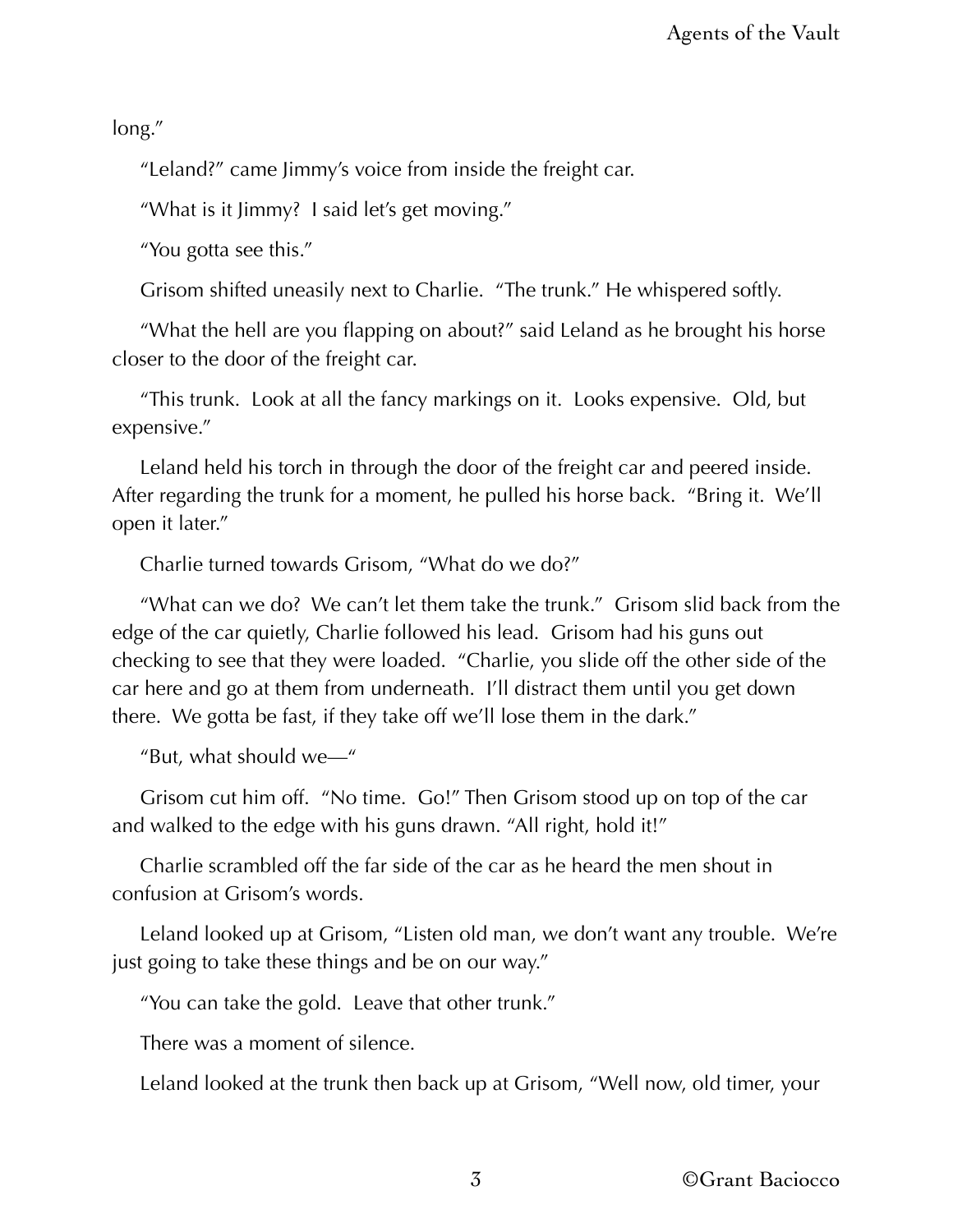long."

"Leland?" came Jimmy's voice from inside the freight car.

"What is it Jimmy? I said let's get moving."

"You gotta see this."

Grisom shifted uneasily next to Charlie. "The trunk." He whispered softly.

"What the hell are you flapping on about?" said Leland as he brought his horse closer to the door of the freight car.

"This trunk. Look at all the fancy markings on it. Looks expensive. Old, but expensive."

Leland held his torch in through the door of the freight car and peered inside. After regarding the trunk for a moment, he pulled his horse back. "Bring it. We'll open it later."

Charlie turned towards Grisom, "What do we do?"

"What can we do? We can't let them take the trunk." Grisom slid back from the edge of the car quietly, Charlie followed his lead. Grisom had his guns out checking to see that they were loaded. "Charlie, you slide off the other side of the car here and go at them from underneath. I'll distract them until you get down there. We gotta be fast, if they take off we'll lose them in the dark."

"But, what should we—"

Grisom cut him off. "No time. Go!" Then Grisom stood up on top of the car and walked to the edge with his guns drawn. "All right, hold it!"

Charlie scrambled off the far side of the car as he heard the men shout in confusion at Grisom's words.

Leland looked up at Grisom, "Listen old man, we don't want any trouble. We're just going to take these things and be on our way."

"You can take the gold. Leave that other trunk."

There was a moment of silence.

Leland looked at the trunk then back up at Grisom, "Well now, old timer, your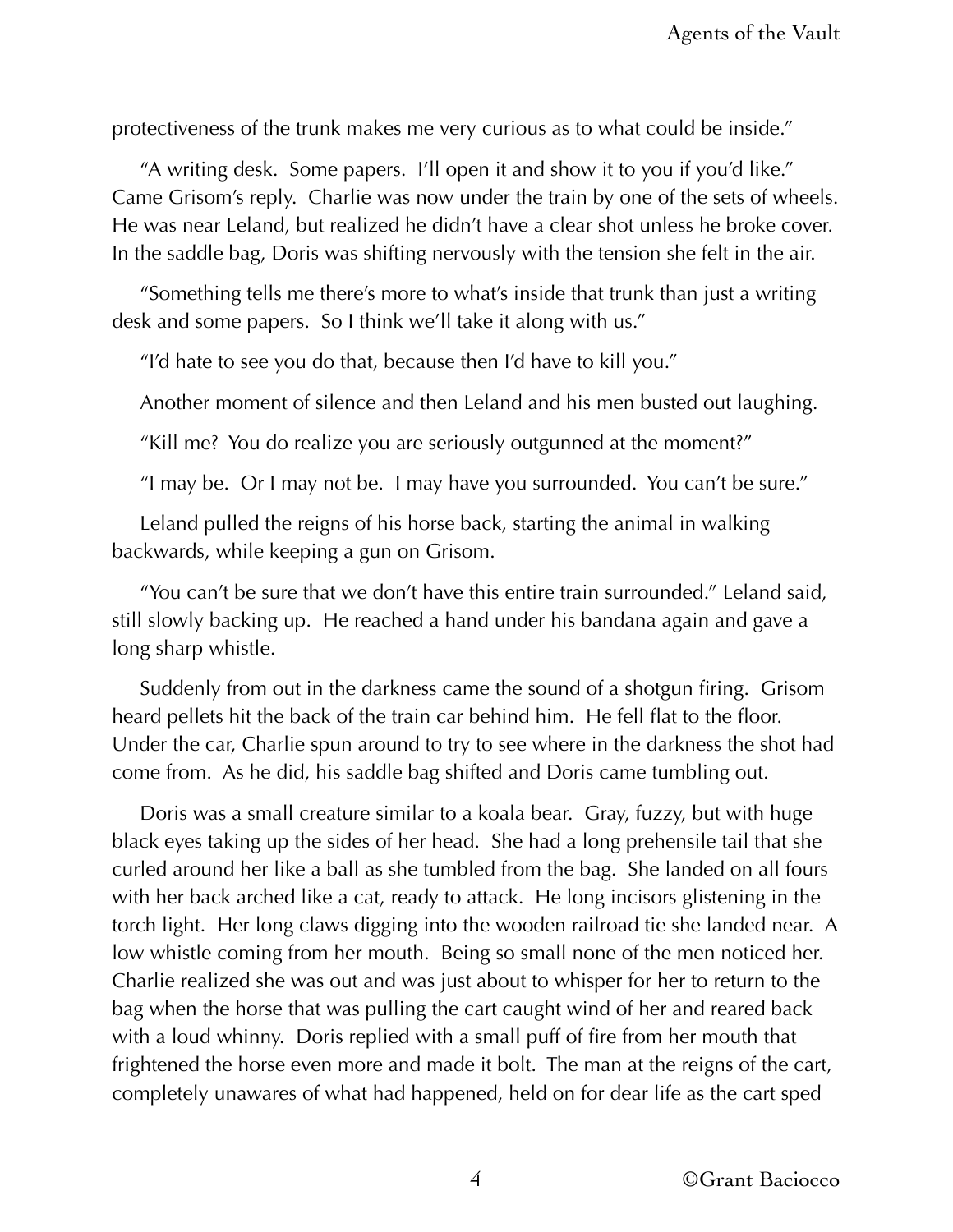protectiveness of the trunk makes me very curious as to what could be inside."

"A writing desk. Some papers. I'll open it and show it to you if you'd like." Came Grisom's reply. Charlie was now under the train by one of the sets of wheels. He was near Leland, but realized he didn't have a clear shot unless he broke cover. In the saddle bag, Doris was shifting nervously with the tension she felt in the air.

"Something tells me there's more to what's inside that trunk than just a writing desk and some papers. So I think we'll take it along with us."

"I'd hate to see you do that, because then I'd have to kill you."

Another moment of silence and then Leland and his men busted out laughing.

"Kill me? You do realize you are seriously outgunned at the moment?"

"I may be. Or I may not be. I may have you surrounded. You can't be sure."

Leland pulled the reigns of his horse back, starting the animal in walking backwards, while keeping a gun on Grisom.

"You can't be sure that we don't have this entire train surrounded." Leland said, still slowly backing up. He reached a hand under his bandana again and gave a long sharp whistle.

Suddenly from out in the darkness came the sound of a shotgun firing. Grisom heard pellets hit the back of the train car behind him. He fell flat to the floor. Under the car, Charlie spun around to try to see where in the darkness the shot had come from. As he did, his saddle bag shifted and Doris came tumbling out.

Doris was a small creature similar to a koala bear. Gray, fuzzy, but with huge black eyes taking up the sides of her head. She had a long prehensile tail that she curled around her like a ball as she tumbled from the bag. She landed on all fours with her back arched like a cat, ready to attack. He long incisors glistening in the torch light. Her long claws digging into the wooden railroad tie she landed near. A low whistle coming from her mouth. Being so small none of the men noticed her. Charlie realized she was out and was just about to whisper for her to return to the bag when the horse that was pulling the cart caught wind of her and reared back with a loud whinny. Doris replied with a small puff of fire from her mouth that frightened the horse even more and made it bolt. The man at the reigns of the cart, completely unawares of what had happened, held on for dear life as the cart sped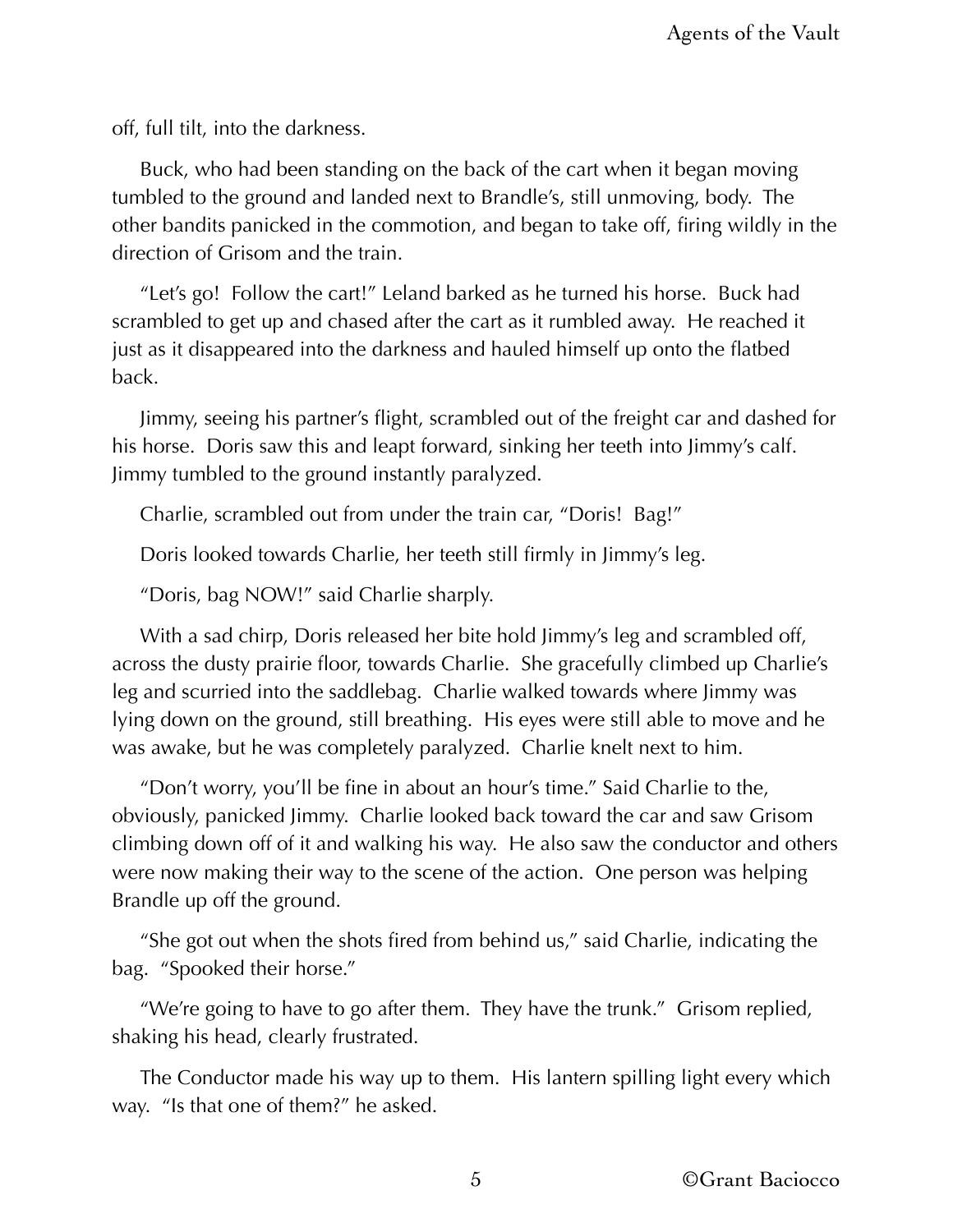off, full tilt, into the darkness.

Buck, who had been standing on the back of the cart when it began moving tumbled to the ground and landed next to Brandle's, still unmoving, body. The other bandits panicked in the commotion, and began to take off, firing wildly in the direction of Grisom and the train.

"Let's go! Follow the cart!" Leland barked as he turned his horse. Buck had scrambled to get up and chased after the cart as it rumbled away. He reached it just as it disappeared into the darkness and hauled himself up onto the flatbed back.

Jimmy, seeing his partner's flight, scrambled out of the freight car and dashed for his horse. Doris saw this and leapt forward, sinking her teeth into Jimmy's calf. Jimmy tumbled to the ground instantly paralyzed.

Charlie, scrambled out from under the train car, "Doris! Bag!"

Doris looked towards Charlie, her teeth still firmly in Jimmy's leg.

"Doris, bag NOW!" said Charlie sharply.

With a sad chirp, Doris released her bite hold Jimmy's leg and scrambled off, across the dusty prairie floor, towards Charlie. She gracefully climbed up Charlie's leg and scurried into the saddlebag. Charlie walked towards where Jimmy was lying down on the ground, still breathing. His eyes were still able to move and he was awake, but he was completely paralyzed. Charlie knelt next to him.

"Don't worry, you'll be fine in about an hour's time." Said Charlie to the, obviously, panicked Jimmy. Charlie looked back toward the car and saw Grisom climbing down off of it and walking his way. He also saw the conductor and others were now making their way to the scene of the action. One person was helping Brandle up off the ground.

"She got out when the shots fired from behind us," said Charlie, indicating the bag. "Spooked their horse."

"We're going to have to go after them. They have the trunk." Grisom replied, shaking his head, clearly frustrated.

The Conductor made his way up to them. His lantern spilling light every which way. "Is that one of them?" he asked.